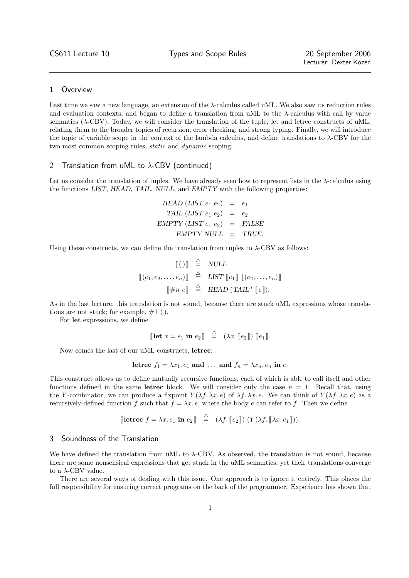### 1 Overview

Last time we saw a new language, an extension of the  $\lambda$ -calculus called uML. We also saw its reduction rules and evaluation contexts, and began to define a translation from uML to the  $\lambda$ -calculus with call by value semantics (λ-CBV). Today, we will consider the translation of the tuple, let and letrec constructs of uML, relating them to the broader topics of recursion, error checking, and strong typing. Finally, we will introduce the topic of variable scope in the context of the lambda calculus, and define translations to  $\lambda$ -CBV for the two most common scoping rules, static and dynamic scoping.

# 2 Translation from uML to  $\lambda$ -CBV (continued)

Let us consider the translation of tuples. We have already seen how to represent lists in the  $\lambda$ -calculus using the functions LIST, HEAD, TAIL, NULL, and EMPTY with the following properties:

$$
HEAD (LIST e1 e2) = e1
$$
  
\n
$$
TAIL (LIST e1 e2) = e2
$$
  
\n
$$
EMPTY (LIST e1 e2) = FALSE
$$
  
\n
$$
EMPTY NULL = TRUE.
$$

Using these constructs, we can define the translation from tuples to  $\lambda$ -CBV as follows:

$$
\begin{array}{rcl}\n\llbracket()\rrbracket & \stackrel{\triangle}{=} & NULL \\
\llbracket(e_1, e_2, \ldots, e_n)\rrbracket & \stackrel{\triangle}{=} & LIST \llbracket e_1 \rrbracket \llbracket(e_2, \ldots, e_n)\rrbracket \\
\llbracket \#n \ e \rrbracket & \stackrel{\triangle}{=} & HEAD (TAIL^n \llbracket e \rrbracket).\n\end{array}
$$

As in the last lecture, this translation is not sound, because there are stuck uML expressions whose translations are not stuck; for example,  $#1$  ( ).

For let expressions, we define

$$
\llbracket \text{let } x = e_1 \text{ in } e_2 \rrbracket \stackrel{\triangle}{=} (\lambda x. \llbracket e_2 \rrbracket) \llbracket e_1 \rrbracket.
$$

Now comes the last of our uML constructs, letrec:

letrec 
$$
f_1 = \lambda x_1 e_1
$$
 and ... and  $f_n = \lambda x_n e_n$  in e.

This construct allows us to define mutually recursive functions, each of which is able to call itself and other functions defined in the same letrec block. We will consider only the case  $n = 1$ . Recall that, using the Y-combinator, we can produce a fixpoint  $Y(\lambda f, \lambda x. e)$  of  $\lambda f, \lambda x. e$ . We can think of  $Y(\lambda f, \lambda x. e)$  as a recursively-defined function f such that  $f = \lambda x \cdot e$ , where the body e can refer to f. Then we define

[**letrec** 
$$
f = \lambda x. e_1
$$
 **in**  $e_2$ ] $\stackrel{\triangle}{=}$   $(\lambda f. [e_2]) (Y(\lambda f. [\lambda x. e_1]))$ .

## 3 Soundness of the Translation

We have defined the translation from uML to  $\lambda$ -CBV. As observed, the translation is not sound, because there are some nonsensical expressions that get stuck in the uML semantics, yet their translations converge to a  $\lambda$ -CBV value.

There are several ways of dealing with this issue. One approach is to ignore it entirely. This places the full responsibility for ensuring correct programs on the back of the programmer. Experience has shown that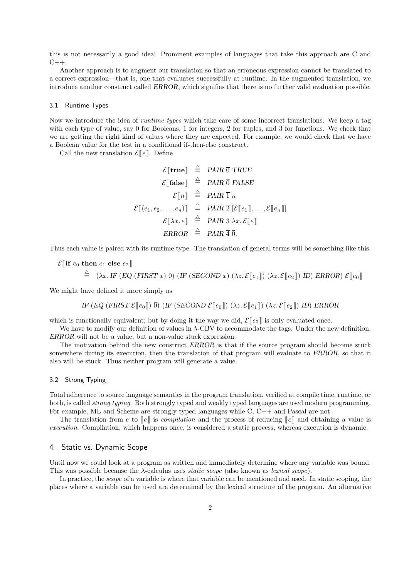this is not necessarily a good idea! Prominent examples of languages that take this approach are C and  $C++$ .

Another approach is to augment our translation so that an erroneous expression cannot be translated to a correct expression—that is, one that evaluates successfully at runtime. In the augmented translation, we introduce another construct called ERROR, which signifies that there is no further valid evaluation possible.

#### 3.1 Runtime Types

Now we introduce the idea of *runtime types* which take care of some incorrect translations. We keep a tag with each type of value, say 0 for Booleans, 1 for integers, 2 for tuples, and 3 for functions. We check that we are getting the right kind of values where they are expected. For example, we would check that we have a Boolean value for the test in a conditional if-then-else construct.

Call the new translation  $\mathcal{E}[\![e]\!]$ . Define

$$
\mathcal{E}[\text{true}] \stackrel{\triangle}{=} \text{PAIR} \ \overline{0} \text{ TRUE}
$$
\n
$$
\mathcal{E}[\text{false}] \stackrel{\triangle}{=} \text{PAIR} \ \overline{0} \text{ FALSE}
$$
\n
$$
\mathcal{E}[\![n]\!] \stackrel{\triangle}{=} \text{PAIR} \ \overline{1} \ \overline{n}
$$
\n
$$
\mathcal{E}[\![e_1, e_2, \dots, e_n]\!] \stackrel{\triangle}{=} \text{PAIR} \ \overline{2} \ [\mathcal{E}[\![e_1]\!], \dots, \mathcal{E}[\![e_n]\!]]
$$
\n
$$
\mathcal{E}[\![\lambda x. e]\!] \stackrel{\triangle}{=} \text{PAIR} \ \overline{3} \ \lambda x. \mathcal{E}[\![e]\!]
$$
\n
$$
\text{ERROR} \stackrel{\triangle}{=} \text{PAIR} \ \overline{4} \ \overline{0}.
$$

Thus each value is paired with its runtime type. The translation of general terms will be something like this.

$$
\mathcal{E}[\![\text{if } e_0 \text{ then } e_1 \text{ else } e_2]\!] \newline \triangleq (\lambda x. \text{IF } (EQ \text{ (FIRST } x) \overline{0}) \text{ (IF } (SECOND x) (\lambda z. \mathcal{E}[\![e_1]\!]) (\lambda z. \mathcal{E}[\![e_2]\!]) \text{ ID}) \text{ ERROR}) \mathcal{E}[\![e_0]\!]
$$

We might have defined it more simply as

IF (EQ (FIRST  $\mathcal{E}[[e_0]]$ )  $\overline{0}$ ) (IF (SECOND  $\mathcal{E}[[e_0]]$ ) ( $\lambda z. \mathcal{E}[[e_1]]$ ) ( $\lambda z. \mathcal{E}[[e_2]]$ ) ID) ERROR

which is functionally equivalent; but by doing it the way we did,  $\mathcal{E}[\![e_0]\!]$  is only evaluated once.

We have to modify our definition of values in  $\lambda$ -CBV to accommodate the tags. Under the new definition, ERROR will not be a value, but a non-value stuck expression.

The motivation behind the new construct ERROR is that if the source program should become stuck somewhere during its execution, then the translation of that program will evaluate to ERROR, so that it also will be stuck. Thus neither program will generate a value.

### 3.2 Strong Typing

Total adherence to source language semantics in the program translation, verified at compile time, runtime, or both, is called *strong typing*. Both strongly typed and weakly typed languages are used modern programming. For example, ML and Scheme are strongly typed languages while C,  $C_{++}$  and Pascal are not.

The translation from e to  $\llbracket e \rrbracket$  is compilation and the process of reducing  $\llbracket e \rrbracket$  and obtaining a value is execution. Compilation, which happens once, is considered a static process, whereas execution is dynamic.

## 4 Static vs. Dynamic Scope

Until now we could look at a program as written and immediately determine where any variable was bound. This was possible because the  $\lambda$ -calculus uses *static scope* (also known as *lexical scope*).

In practice, the *scope* of a variable is where that variable can be mentioned and used. In static scoping, the places where a variable can be used are determined by the lexical structure of the program. An alternative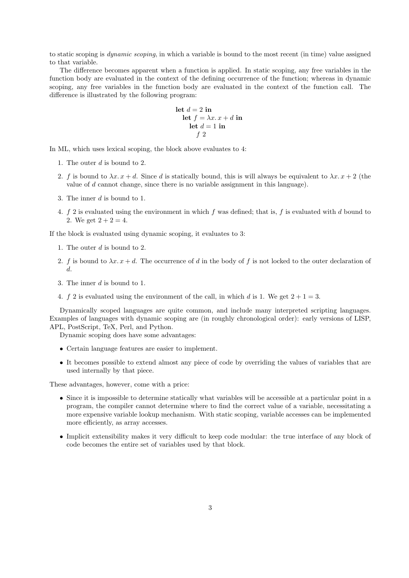to static scoping is dynamic scoping, in which a variable is bound to the most recent (in time) value assigned to that variable.

The difference becomes apparent when a function is applied. In static scoping, any free variables in the function body are evaluated in the context of the defining occurrence of the function; whereas in dynamic scoping, any free variables in the function body are evaluated in the context of the function call. The difference is illustrated by the following program:

let 
$$
d = 2
$$
 in  
let  $f = \lambda x \cdot x + d$  in  
let  $d = 1$  in  
 $f 2$ 

In ML, which uses lexical scoping, the block above evaluates to 4:

- 1. The outer d is bound to 2.
- 2. f is bound to  $\lambda x \cdot x + d$ . Since d is statically bound, this is will always be equivalent to  $\lambda x \cdot x + 2$  (the value of d cannot change, since there is no variable assignment in this language).
- 3. The inner d is bound to 1.
- 4.  $f$  2 is evaluated using the environment in which f was defined; that is, f is evaluated with d bound to 2. We get  $2 + 2 = 4$ .

If the block is evaluated using dynamic scoping, it evaluates to 3:

- 1. The outer d is bound to 2.
- 2. f is bound to  $\lambda x \cdot x + d$ . The occurrence of d in the body of f is not locked to the outer declaration of d.
- 3. The inner d is bound to 1.
- 4. f 2 is evaluated using the environment of the call, in which d is 1. We get  $2 + 1 = 3$ .

Dynamically scoped languages are quite common, and include many interpreted scripting languages. Examples of languages with dynamic scoping are (in roughly chronological order): early versions of LISP, APL, PostScript, TeX, Perl, and Python.

Dynamic scoping does have some advantages:

- Certain language features are easier to implement.
- It becomes possible to extend almost any piece of code by overriding the values of variables that are used internally by that piece.

These advantages, however, come with a price:

- Since it is impossible to determine statically what variables will be accessible at a particular point in a program, the compiler cannot determine where to find the correct value of a variable, necessitating a more expensive variable lookup mechanism. With static scoping, variable accesses can be implemented more efficiently, as array accesses.
- Implicit extensibility makes it very difficult to keep code modular: the true interface of any block of code becomes the entire set of variables used by that block.